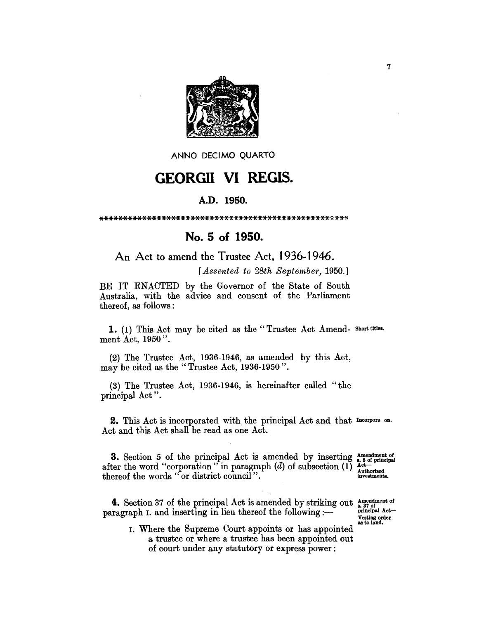

ANNO DECIMO QUARTO

## **GEORGII VI REGIS.**

## A.D. 1950.

## No. 5 of 1950.

## An Act to amend the Trustee Act, 1936-1946.

[Assented to 28th September, 1950.]

BE IT ENACTED by the Governor of the State of South Australia, with the advice and consent of the Parliament thereof, as follows:

1. (1) This Act may be cited as the "Trustee Act Amend- Short titles. ment Act, 1950".

 $(2)$  The Trustee Act, 1936-1946, as amended by this Act, may be cited as the "Trustee Act, 1936-1950".

(3) The Trustee Act, 1936-1946, is hereinafter called "the principal Act".

2. This Act is incorporated with the principal Act and that Incorpora on. Act and this Act shall be read as one Act.

**3.** Section 5 of the principal Act is amended by inserting  $\frac{A_{\text{meindment of}}}{A}$  after the word "corporation" in paragraph (d) of subsection (1)  $\frac{A_{\text{ter}}}{A}$ Authorized<br>investments. thereof the words "or district council".

**4.** Section 37 of the principal Act is amended by striking out  $\frac{\text{Amendment of}}{\text{aragram}}$  in and inserting in lieu thereof the following :paragraph I. and inserting in lieu thereof the following :-

Vesting order<br>as to land.

I. Where the Supreme Court appoints or has appointed a trustee or where a trustee has been appointed out of court under any statutory or express power: